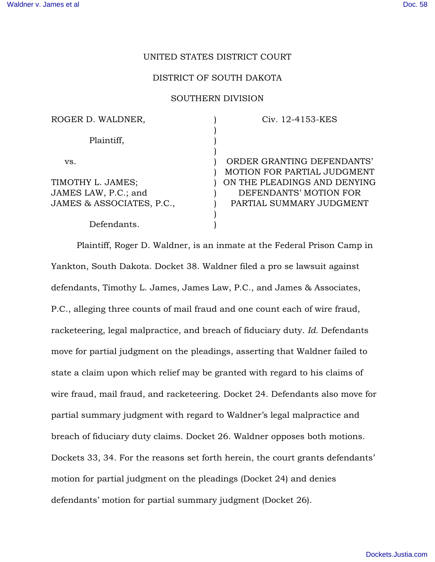# UNITED STATES DISTRICT COURT

#### DISTRICT OF SOUTH DAKOTA

# SOUTHERN DIVISION

| ROGER D. WALDNER,         | Civ. 12-4153-KES             |
|---------------------------|------------------------------|
| Plaintiff,                |                              |
|                           |                              |
| VS.                       | ORDER GRANTING DEFENDANTS'   |
|                           | MOTION FOR PARTIAL JUDGMENT  |
| TIMOTHY L. JAMES;         | ON THE PLEADINGS AND DENYING |
| JAMES LAW, P.C.; and      | DEFENDANTS' MOTION FOR       |
| JAMES & ASSOCIATES, P.C., | PARTIAL SUMMARY JUDGMENT     |
|                           |                              |
| Defendants.               |                              |

Plaintiff, Roger D. Waldner, is an inmate at the Federal Prison Camp in Yankton, South Dakota. Docket 38. Waldner filed a pro se lawsuit against defendants, Timothy L. James, James Law, P.C., and James & Associates, P.C., alleging three counts of mail fraud and one count each of wire fraud, racketeering, legal malpractice, and breach of fiduciary duty. *Id.* Defendants move for partial judgment on the pleadings, asserting that Waldner failed to state a claim upon which relief may be granted with regard to his claims of wire fraud, mail fraud, and racketeering. Docket 24. Defendants also move for partial summary judgment with regard to Waldner's legal malpractice and breach of fiduciary duty claims. Docket 26. Waldner opposes both motions. Dockets 33, 34. For the reasons set forth herein, the court grants defendants' motion for partial judgment on the pleadings (Docket 24) and denies defendants' motion for partial summary judgment (Docket 26).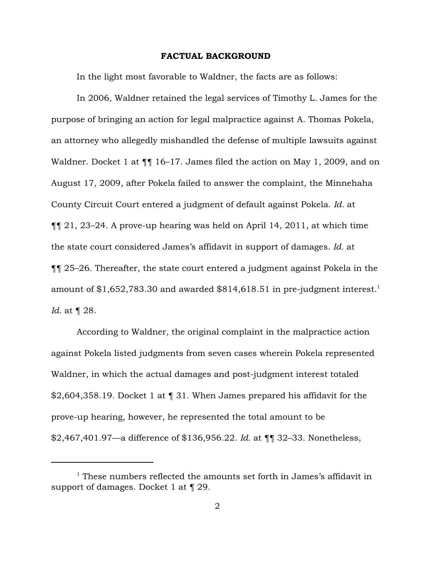#### FACTUAL BACKGROUND

In the light most favorable to Waldner, the facts are as follows:

In 2006, Waldner retained the legal services of Timothy L. James for the purpose of bringing an action for legal malpractice against A. Thomas Pokela, an attorney who allegedly mishandled the defense of multiple lawsuits against Waldner. Docket 1 at  $\P$  16–17. James filed the action on May 1, 2009, and on August 17, 2009, after Pokela failed to answer the complaint, the Minnehaha County Circuit Court entered a judgment of default against Pokela. *Id.* at ¶¶ 21, 23–24. A prove-up hearing was held on April 14, 2011, at which time the state court considered James's affidavit in support of damages. *Id.* at ¶¶ 25–26. Thereafter, the state court entered a judgment against Pokela in the amount of  $$1,652,783.30$  and awarded  $$814,618.51$  in pre-judgment interest.<sup>1</sup> *Id.* at ¶ 28.

According to Waldner, the original complaint in the malpractice action against Pokela listed judgments from seven cases wherein Pokela represented Waldner, in which the actual damages and post-judgment interest totaled \$2,604,358.19. Docket 1 at ¶ 31. When James prepared his affidavit for the prove-up hearing, however, he represented the total amount to be \$2,467,401.97—a difference of \$136,956.22. *Id.* at ¶¶ 32–33. Nonetheless,

 $1$ <sup>1</sup> These numbers reflected the amounts set forth in James's affidavit in support of damages. Docket 1 at ¶ 29.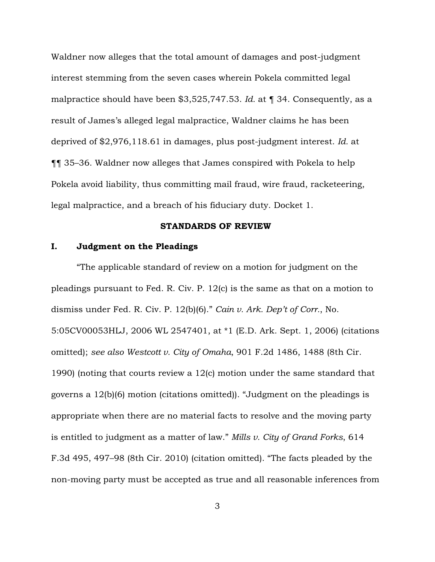Waldner now alleges that the total amount of damages and post-judgment interest stemming from the seven cases wherein Pokela committed legal malpractice should have been \$3,525,747.53. *Id.* at ¶ 34. Consequently, as a result of James's alleged legal malpractice, Waldner claims he has been deprived of \$2,976,118.61 in damages, plus post-judgment interest. *Id.* at ¶¶ 35–36. Waldner now alleges that James conspired with Pokela to help Pokela avoid liability, thus committing mail fraud, wire fraud, racketeering, legal malpractice, and a breach of his fiduciary duty. Docket 1.

#### STANDARDS OF REVIEW

# I. Judgment on the Pleadings

"The applicable standard of review on a motion for judgment on the pleadings pursuant to Fed. R. Civ. P. 12(c) is the same as that on a motion to dismiss under Fed. R. Civ. P. 12(b)(6)." *Cain v. Ark. Dep't of Corr.*, No. 5:05CV00053HLJ, 2006 WL 2547401, at \*1 (E.D. Ark. Sept. 1, 2006) (citations omitted); *see also Westcott v. City of Omaha*, 901 F.2d 1486, 1488 (8th Cir. 1990) (noting that courts review a 12(c) motion under the same standard that governs a 12(b)(6) motion (citations omitted)). "Judgment on the pleadings is appropriate when there are no material facts to resolve and the moving party is entitled to judgment as a matter of law." *Mills v. City of Grand Forks*, 614 F.3d 495, 497–98 (8th Cir. 2010) (citation omitted). "The facts pleaded by the non-moving party must be accepted as true and all reasonable inferences from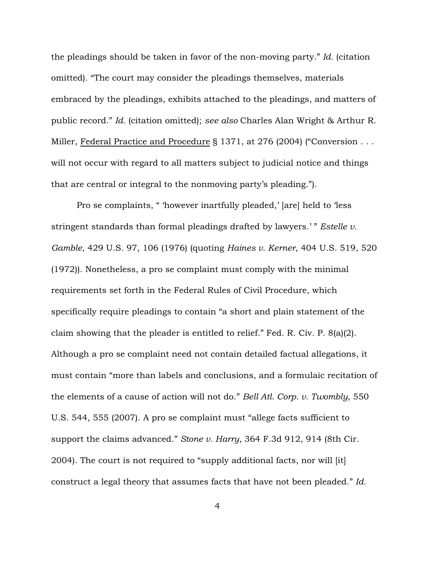the pleadings should be taken in favor of the non-moving party." *Id.* (citation omitted). "The court may consider the pleadings themselves, materials embraced by the pleadings, exhibits attached to the pleadings, and matters of public record." *Id.* (citation omitted); *see also* Charles Alan Wright & Arthur R. Miller, Federal Practice and Procedure § 1371, at 276 (2004) ("Conversion . . . will not occur with regard to all matters subject to judicial notice and things that are central or integral to the nonmoving party's pleading.").

Pro se complaints, " 'however inartfully pleaded,' [are] held to 'less stringent standards than formal pleadings drafted by lawyers.' " *Estelle v. Gamble*, 429 U.S. 97, 106 (1976) (quoting *Haines v. Kerner*, 404 U.S. 519, 520 (1972)). Nonetheless, a pro se complaint must comply with the minimal requirements set forth in the Federal Rules of Civil Procedure, which specifically require pleadings to contain "a short and plain statement of the claim showing that the pleader is entitled to relief." Fed. R. Civ. P. 8(a)(2). Although a pro se complaint need not contain detailed factual allegations, it must contain "more than labels and conclusions, and a formulaic recitation of the elements of a cause of action will not do." *Bell Atl. Corp. v. Twombly*, 550 U.S. 544, 555 (2007). A pro se complaint must "allege facts sufficient to support the claims advanced." *Stone v. Harry*, 364 F.3d 912, 914 (8th Cir. 2004). The court is not required to "supply additional facts, nor will [it] construct a legal theory that assumes facts that have not been pleaded." *Id.*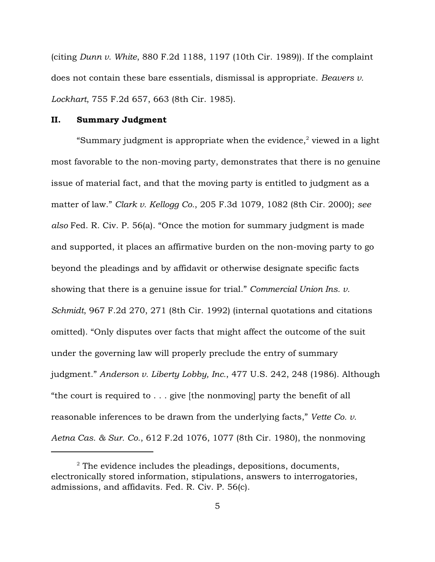(citing *Dunn v. White*, 880 F.2d 1188, 1197 (10th Cir. 1989)). If the complaint does not contain these bare essentials, dismissal is appropriate. *Beavers v. Lockhart*, 755 F.2d 657, 663 (8th Cir. 1985).

#### II. Summary Judgment

"Summary judgment is appropriate when the evidence, $2$  viewed in a light most favorable to the non-moving party, demonstrates that there is no genuine issue of material fact, and that the moving party is entitled to judgment as a matter of law." *Clark v. Kellogg Co.*, 205 F.3d 1079, 1082 (8th Cir. 2000); *see also* Fed. R. Civ. P. 56(a). "Once the motion for summary judgment is made and supported, it places an affirmative burden on the non-moving party to go beyond the pleadings and by affidavit or otherwise designate specific facts showing that there is a genuine issue for trial." *Commercial Union Ins. v. Schmidt*, 967 F.2d 270, 271 (8th Cir. 1992) (internal quotations and citations omitted). "Only disputes over facts that might affect the outcome of the suit under the governing law will properly preclude the entry of summary judgment." *Anderson v. Liberty Lobby, Inc.*, 477 U.S. 242, 248 (1986). Although "the court is required to . . . give [the nonmoving] party the benefit of all reasonable inferences to be drawn from the underlying facts," *Vette Co. v. Aetna Cas. & Sur. Co.*, 612 F.2d 1076, 1077 (8th Cir. 1980), the nonmoving

 $2^{\circ}$  The evidence includes the pleadings, depositions, documents, electronically stored information, stipulations, answers to interrogatories, admissions, and affidavits. Fed. R. Civ. P. 56(c).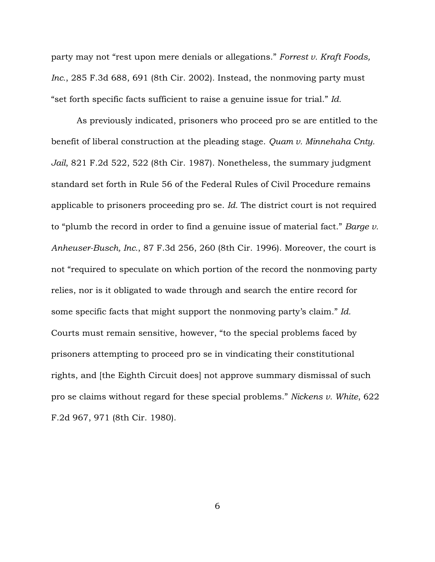party may not "rest upon mere denials or allegations." *Forrest v. Kraft Foods, Inc.*, 285 F.3d 688, 691 (8th Cir. 2002). Instead, the nonmoving party must "set forth specific facts sufficient to raise a genuine issue for trial." *Id.*

As previously indicated, prisoners who proceed pro se are entitled to the benefit of liberal construction at the pleading stage. *Quam v. Minnehaha Cnty. Jail*, 821 F.2d 522, 522 (8th Cir. 1987). Nonetheless, the summary judgment standard set forth in Rule 56 of the Federal Rules of Civil Procedure remains applicable to prisoners proceeding pro se. *Id.* The district court is not required to "plumb the record in order to find a genuine issue of material fact." *Barge v. Anheuser-Busch, Inc.*, 87 F.3d 256, 260 (8th Cir. 1996). Moreover, the court is not "required to speculate on which portion of the record the nonmoving party relies, nor is it obligated to wade through and search the entire record for some specific facts that might support the nonmoving party's claim." *Id.* Courts must remain sensitive, however, "to the special problems faced by prisoners attempting to proceed pro se in vindicating their constitutional rights, and [the Eighth Circuit does] not approve summary dismissal of such pro se claims without regard for these special problems." *Nickens v. White*, 622 F.2d 967, 971 (8th Cir. 1980).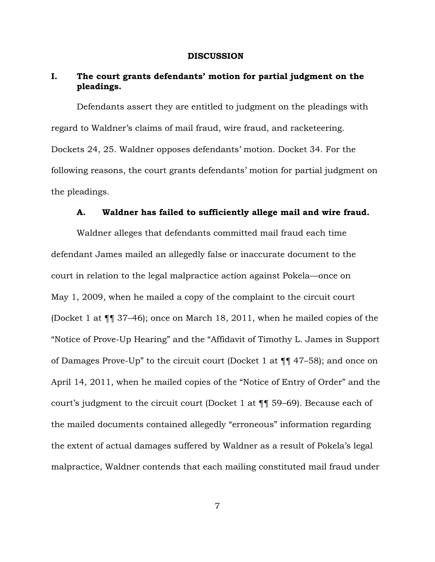#### DISCUSSION

# I. The court grants defendants' motion for partial judgment on the pleadings.

Defendants assert they are entitled to judgment on the pleadings with regard to Waldner's claims of mail fraud, wire fraud, and racketeering. Dockets 24, 25. Waldner opposes defendants' motion. Docket 34. For the following reasons, the court grants defendants' motion for partial judgment on the pleadings.

# A. Waldner has failed to sufficiently allege mail and wire fraud.

Waldner alleges that defendants committed mail fraud each time defendant James mailed an allegedly false or inaccurate document to the court in relation to the legal malpractice action against Pokela—once on May 1, 2009, when he mailed a copy of the complaint to the circuit court (Docket 1 at ¶¶ 37–46); once on March 18, 2011, when he mailed copies of the "Notice of Prove-Up Hearing" and the "Affidavit of Timothy L. James in Support of Damages Prove-Up" to the circuit court (Docket 1 at ¶¶ 47–58); and once on April 14, 2011, when he mailed copies of the "Notice of Entry of Order" and the court's judgment to the circuit court (Docket 1 at ¶¶ 59–69). Because each of the mailed documents contained allegedly "erroneous" information regarding the extent of actual damages suffered by Waldner as a result of Pokela's legal malpractice, Waldner contends that each mailing constituted mail fraud under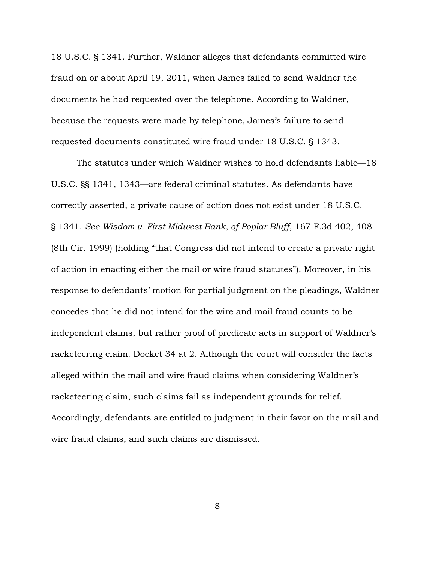18 U.S.C. § 1341. Further, Waldner alleges that defendants committed wire fraud on or about April 19, 2011, when James failed to send Waldner the documents he had requested over the telephone. According to Waldner, because the requests were made by telephone, James's failure to send requested documents constituted wire fraud under 18 U.S.C. § 1343.

The statutes under which Waldner wishes to hold defendants liable—18 U.S.C. §§ 1341, 1343—are federal criminal statutes. As defendants have correctly asserted, a private cause of action does not exist under 18 U.S.C. § 1341. *See Wisdom v. First Midwest Bank, of Poplar Bluff*, 167 F.3d 402, 408 (8th Cir. 1999) (holding "that Congress did not intend to create a private right of action in enacting either the mail or wire fraud statutes"). Moreover, in his response to defendants' motion for partial judgment on the pleadings, Waldner concedes that he did not intend for the wire and mail fraud counts to be independent claims, but rather proof of predicate acts in support of Waldner's racketeering claim. Docket 34 at 2. Although the court will consider the facts alleged within the mail and wire fraud claims when considering Waldner's racketeering claim, such claims fail as independent grounds for relief. Accordingly, defendants are entitled to judgment in their favor on the mail and wire fraud claims, and such claims are dismissed.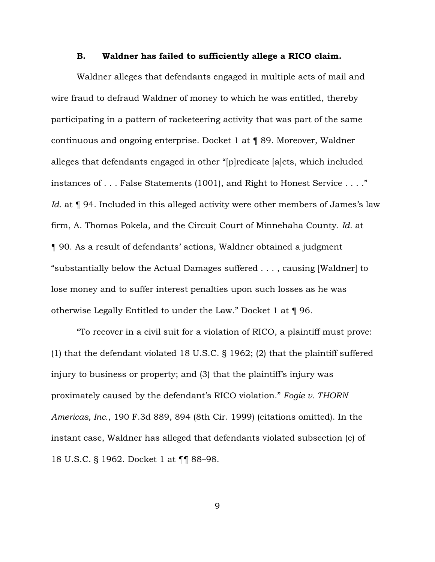# B. Waldner has failed to sufficiently allege a RICO claim.

Waldner alleges that defendants engaged in multiple acts of mail and wire fraud to defraud Waldner of money to which he was entitled, thereby participating in a pattern of racketeering activity that was part of the same continuous and ongoing enterprise. Docket 1 at ¶ 89. Moreover, Waldner alleges that defendants engaged in other "[p]redicate [a]cts, which included instances of . . . False Statements (1001), and Right to Honest Service . . . ." *Id.* at **[94.** Included in this alleged activity were other members of James's law firm, A. Thomas Pokela, and the Circuit Court of Minnehaha County. *Id.* at ¶ 90. As a result of defendants' actions, Waldner obtained a judgment "substantially below the Actual Damages suffered . . . , causing [Waldner] to lose money and to suffer interest penalties upon such losses as he was otherwise Legally Entitled to under the Law." Docket 1 at ¶ 96.

"To recover in a civil suit for a violation of RICO, a plaintiff must prove: (1) that the defendant violated 18 U.S.C. § 1962; (2) that the plaintiff suffered injury to business or property; and (3) that the plaintiff's injury was proximately caused by the defendant's RICO violation." *Fogie v. THORN Americas, Inc.*, 190 F.3d 889, 894 (8th Cir. 1999) (citations omitted). In the instant case, Waldner has alleged that defendants violated subsection (c) of 18 U.S.C. § 1962. Docket 1 at ¶¶ 88–98.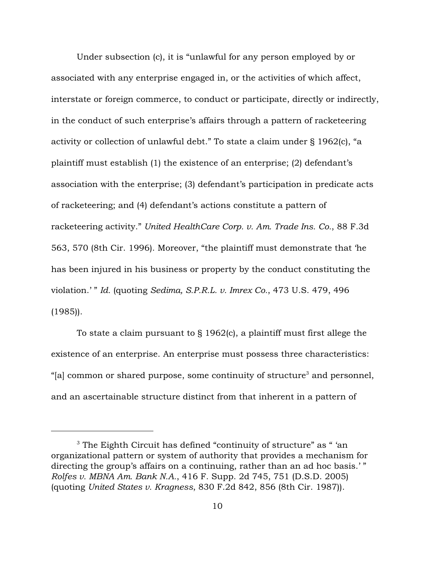Under subsection (c), it is "unlawful for any person employed by or associated with any enterprise engaged in, or the activities of which affect, interstate or foreign commerce, to conduct or participate, directly or indirectly, in the conduct of such enterprise's affairs through a pattern of racketeering activity or collection of unlawful debt." To state a claim under § 1962(c), "a plaintiff must establish (1) the existence of an enterprise; (2) defendant's association with the enterprise; (3) defendant's participation in predicate acts of racketeering; and (4) defendant's actions constitute a pattern of racketeering activity." *United HealthCare Corp. v. Am. Trade Ins. Co.*, 88 F.3d 563, 570 (8th Cir. 1996). Moreover, "the plaintiff must demonstrate that 'he has been injured in his business or property by the conduct constituting the violation.' " *Id.* (quoting *Sedima, S.P.R.L. v. Imrex Co.*, 473 U.S. 479, 496 (1985)).

To state a claim pursuant to  $\S 1962(c)$ , a plaintiff must first allege the existence of an enterprise. An enterprise must possess three characteristics: "[a] common or shared purpose, some continuity of structure<sup>3</sup> and personnel, and an ascertainable structure distinct from that inherent in a pattern of

 $^3$  The Eighth Circuit has defined "continuity of structure" as " 'an  $\,$ organizational pattern or system of authority that provides a mechanism for directing the group's affairs on a continuing, rather than an ad hoc basis.'" *Rolfes v. MBNA Am. Bank N.A.*, 416 F. Supp. 2d 745, 751 (D.S.D. 2005) (quoting *United States v. Kragness*, 830 F.2d 842, 856 (8th Cir. 1987)).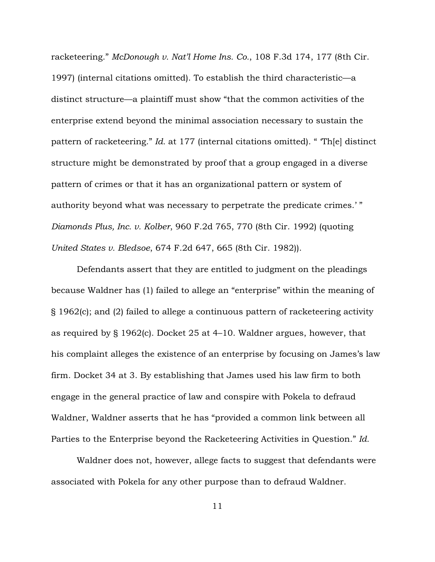racketeering." *McDonough v. Nat'l Home Ins. Co.*, 108 F.3d 174, 177 (8th Cir. 1997) (internal citations omitted). To establish the third characteristic—a distinct structure—a plaintiff must show "that the common activities of the enterprise extend beyond the minimal association necessary to sustain the pattern of racketeering." *Id.* at 177 (internal citations omitted). " 'Th[e] distinct structure might be demonstrated by proof that a group engaged in a diverse pattern of crimes or that it has an organizational pattern or system of authority beyond what was necessary to perpetrate the predicate crimes.' " *Diamonds Plus, Inc. v. Kolber*, 960 F.2d 765, 770 (8th Cir. 1992) (quoting *United States v. Bledsoe*, 674 F.2d 647, 665 (8th Cir. 1982)).

Defendants assert that they are entitled to judgment on the pleadings because Waldner has (1) failed to allege an "enterprise" within the meaning of § 1962(c); and (2) failed to allege a continuous pattern of racketeering activity as required by § 1962(c). Docket 25 at 4–10. Waldner argues, however, that his complaint alleges the existence of an enterprise by focusing on James's law firm. Docket 34 at 3. By establishing that James used his law firm to both engage in the general practice of law and conspire with Pokela to defraud Waldner, Waldner asserts that he has "provided a common link between all Parties to the Enterprise beyond the Racketeering Activities in Question." *Id.*

Waldner does not, however, allege facts to suggest that defendants were associated with Pokela for any other purpose than to defraud Waldner.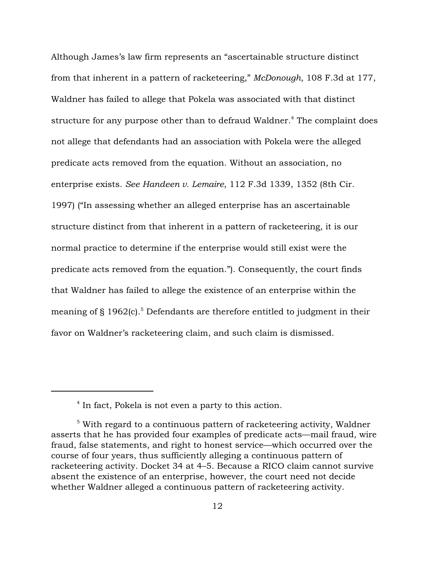Although James's law firm represents an "ascertainable structure distinct from that inherent in a pattern of racketeering," *McDonough*, 108 F.3d at 177, Waldner has failed to allege that Pokela was associated with that distinct structure for any purpose other than to defraud Waldner.<sup>4</sup> The complaint does not allege that defendants had an association with Pokela were the alleged predicate acts removed from the equation. Without an association, no enterprise exists. *See Handeen v. Lemaire*, 112 F.3d 1339, 1352 (8th Cir. 1997) ("In assessing whether an alleged enterprise has an ascertainable structure distinct from that inherent in a pattern of racketeering, it is our normal practice to determine if the enterprise would still exist were the predicate acts removed from the equation."). Consequently, the court finds that Waldner has failed to allege the existence of an enterprise within the meaning of  $\S$  1962(c).<sup>5</sup> Defendants are therefore entitled to judgment in their favor on Waldner's racketeering claim, and such claim is dismissed.

 $<sup>4</sup>$  In fact, Pokela is not even a party to this action.</sup>

 $5$  With regard to a continuous pattern of racketeering activity, Waldner asserts that he has provided four examples of predicate acts—mail fraud, wire fraud, false statements, and right to honest service—which occurred over the course of four years, thus sufficiently alleging a continuous pattern of racketeering activity. Docket 34 at 4–5. Because a RICO claim cannot survive absent the existence of an enterprise, however, the court need not decide whether Waldner alleged a continuous pattern of racketeering activity.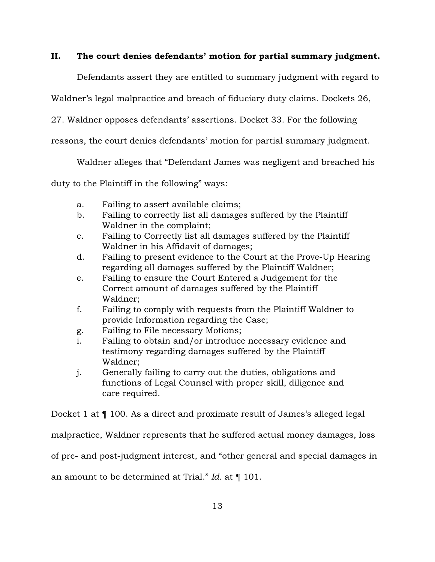# II. The court denies defendants' motion for partial summary judgment.

Defendants assert they are entitled to summary judgment with regard to

Waldner's legal malpractice and breach of fiduciary duty claims. Dockets 26,

27. Waldner opposes defendants' assertions. Docket 33. For the following

reasons, the court denies defendants' motion for partial summary judgment.

Waldner alleges that "Defendant James was negligent and breached his

duty to the Plaintiff in the following" ways:

- a. Failing to assert available claims;
- b. Failing to correctly list all damages suffered by the Plaintiff Waldner in the complaint;
- c. Failing to Correctly list all damages suffered by the Plaintiff Waldner in his Affidavit of damages;
- d. Failing to present evidence to the Court at the Prove-Up Hearing regarding all damages suffered by the Plaintiff Waldner;
- e. Failing to ensure the Court Entered a Judgement for the Correct amount of damages suffered by the Plaintiff Waldner;
- f. Failing to comply with requests from the Plaintiff Waldner to provide Information regarding the Case;
- g. Failing to File necessary Motions;
- i. Failing to obtain and/or introduce necessary evidence and testimony regarding damages suffered by the Plaintiff Waldner;
- j. Generally failing to carry out the duties, obligations and functions of Legal Counsel with proper skill, diligence and care required.

Docket 1 at ¶ 100. As a direct and proximate result of James's alleged legal

malpractice, Waldner represents that he suffered actual money damages, loss

of pre- and post-judgment interest, and "other general and special damages in

an amount to be determined at Trial." *Id.* at ¶ 101.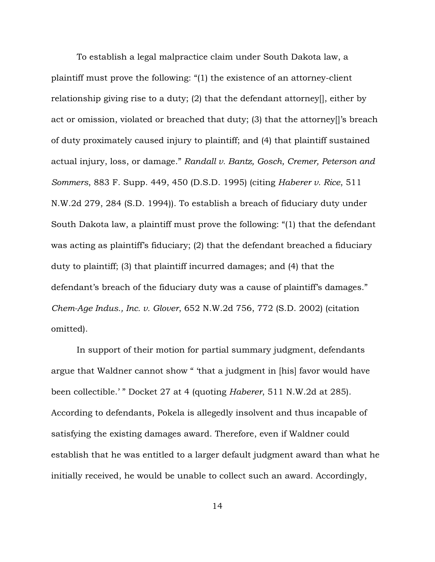To establish a legal malpractice claim under South Dakota law, a plaintiff must prove the following: "(1) the existence of an attorney-client relationship giving rise to a duty; (2) that the defendant attorney[], either by act or omission, violated or breached that duty; (3) that the attorney[]'s breach of duty proximately caused injury to plaintiff; and (4) that plaintiff sustained actual injury, loss, or damage." *Randall v. Bantz, Gosch, Cremer, Peterson and Sommers*, 883 F. Supp. 449, 450 (D.S.D. 1995) (citing *Haberer v. Rice*, 511 N.W.2d 279, 284 (S.D. 1994)). To establish a breach of fiduciary duty under South Dakota law, a plaintiff must prove the following: "(1) that the defendant was acting as plaintiff's fiduciary; (2) that the defendant breached a fiduciary duty to plaintiff; (3) that plaintiff incurred damages; and (4) that the defendant's breach of the fiduciary duty was a cause of plaintiff's damages." *Chem-Age Indus., Inc. v. Glover*, 652 N.W.2d 756, 772 (S.D. 2002) (citation omitted).

In support of their motion for partial summary judgment, defendants argue that Waldner cannot show " 'that a judgment in [his] favor would have been collectible.' " Docket 27 at 4 (quoting *Haberer*, 511 N.W.2d at 285). According to defendants, Pokela is allegedly insolvent and thus incapable of satisfying the existing damages award. Therefore, even if Waldner could establish that he was entitled to a larger default judgment award than what he initially received, he would be unable to collect such an award. Accordingly,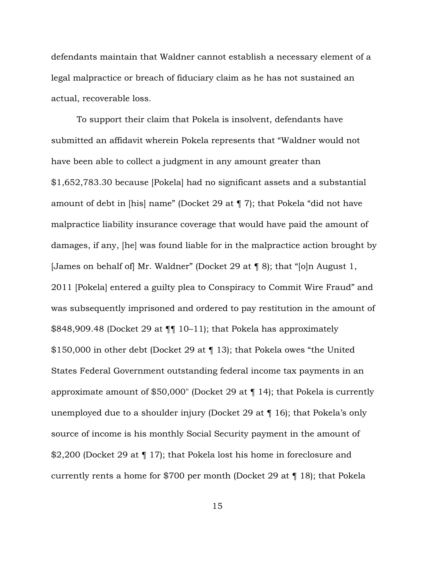defendants maintain that Waldner cannot establish a necessary element of a legal malpractice or breach of fiduciary claim as he has not sustained an actual, recoverable loss.

To support their claim that Pokela is insolvent, defendants have submitted an affidavit wherein Pokela represents that "Waldner would not have been able to collect a judgment in any amount greater than \$1,652,783.30 because [Pokela] had no significant assets and a substantial amount of debt in [his] name" (Docket 29 at ¶ 7); that Pokela "did not have malpractice liability insurance coverage that would have paid the amount of damages, if any, [he] was found liable for in the malpractice action brought by [James on behalf of] Mr. Waldner" (Docket 29 at ¶ 8); that "[o]n August 1, 2011 [Pokela] entered a guilty plea to Conspiracy to Commit Wire Fraud" and was subsequently imprisoned and ordered to pay restitution in the amount of \$848,909.48 (Docket 29 at ¶¶ 10–11); that Pokela has approximately \$150,000 in other debt (Docket 29 at ¶ 13); that Pokela owes "the United States Federal Government outstanding federal income tax payments in an approximate amount of \$50,000" (Docket 29 at ¶ 14); that Pokela is currently unemployed due to a shoulder injury (Docket 29 at ¶ 16); that Pokela's only source of income is his monthly Social Security payment in the amount of \$2,200 (Docket 29 at ¶ 17); that Pokela lost his home in foreclosure and currently rents a home for \$700 per month (Docket 29 at ¶ 18); that Pokela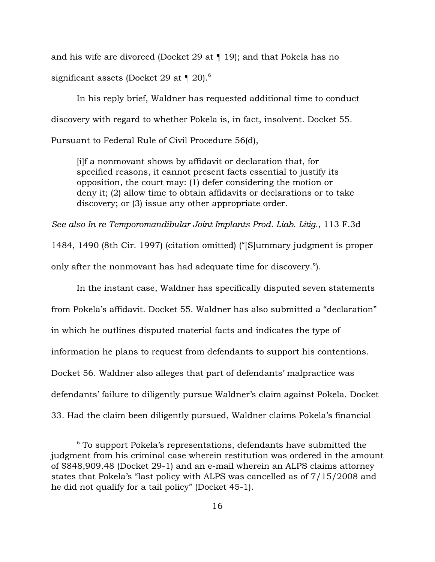and his wife are divorced (Docket 29 at ¶ 19); and that Pokela has no significant assets (Docket 29 at  $\P$  20).<sup>6</sup>

In his reply brief, Waldner has requested additional time to conduct discovery with regard to whether Pokela is, in fact, insolvent. Docket 55. Pursuant to Federal Rule of Civil Procedure 56(d),

[i]f a nonmovant shows by affidavit or declaration that, for specified reasons, it cannot present facts essential to justify its opposition, the court may: (1) defer considering the motion or deny it; (2) allow time to obtain affidavits or declarations or to take discovery; or (3) issue any other appropriate order.

*See also In re Temporomandibular Joint Implants Prod. Liab. Litig.*, 113 F.3d

1484, 1490 (8th Cir. 1997) (citation omitted) ("[S]ummary judgment is proper only after the nonmovant has had adequate time for discovery.").

In the instant case, Waldner has specifically disputed seven statements from Pokela's affidavit. Docket 55. Waldner has also submitted a "declaration" in which he outlines disputed material facts and indicates the type of information he plans to request from defendants to support his contentions. Docket 56. Waldner also alleges that part of defendants' malpractice was defendants' failure to diligently pursue Waldner's claim against Pokela. Docket 33. Had the claim been diligently pursued, Waldner claims Pokela's financial

 $6$  To support Pokela's representations, defendants have submitted the judgment from his criminal case wherein restitution was ordered in the amount of \$848,909.48 (Docket 29-1) and an e-mail wherein an ALPS claims attorney states that Pokela's "last policy with ALPS was cancelled as of 7/15/2008 and he did not qualify for a tail policy" (Docket 45-1).